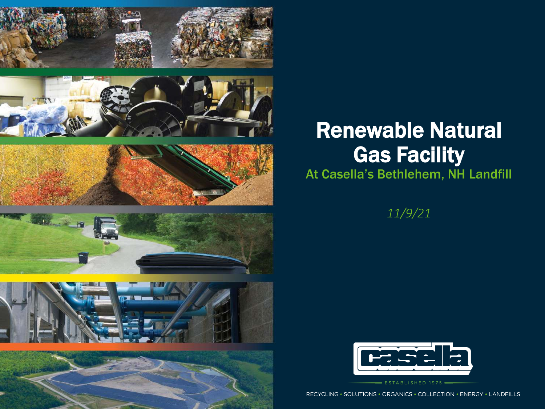











### Renewable Natural Gas Facility

#### At Casella's Bethlehem, NH Landfill

*11/9/21*



ESTABLISHED 1975 -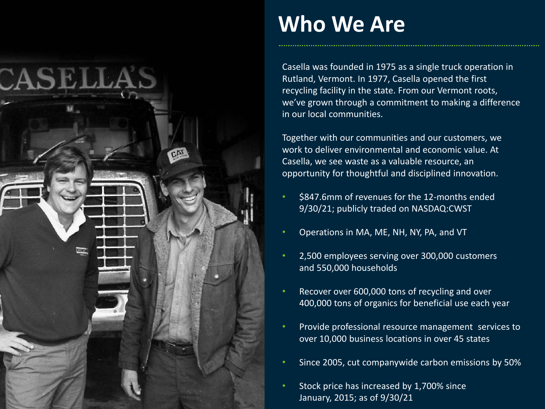

### **Who We Are**

Casella was founded in 1975 as a single truck operation in Rutland, Vermont. In 1977, Casella opened the first recycling facility in the state. From our Vermont roots, we've grown through a commitment to making a difference in our local communities.

Together with our communities and our customers, we work to deliver environmental and economic value. At Casella, we see waste as a valuable resource, an opportunity for thoughtful and disciplined innovation.

- \$847.6mm of revenues for the 12-months ended 9/30/21; publicly traded on NASDAQ:CWST
- Operations in MA, ME, NH, NY, PA, and VT
- 2,500 employees serving over 300,000 customers and 550,000 households
- Recover over 600,000 tons of recycling and over 400,000 tons of organics for beneficial use each year
- Provide professional resource management services to over 10,000 business locations in over 45 states
- Since 2005, cut companywide carbon emissions by 50%
- Stock price has increased by 1,700% since January, 2015; as of 9/30/21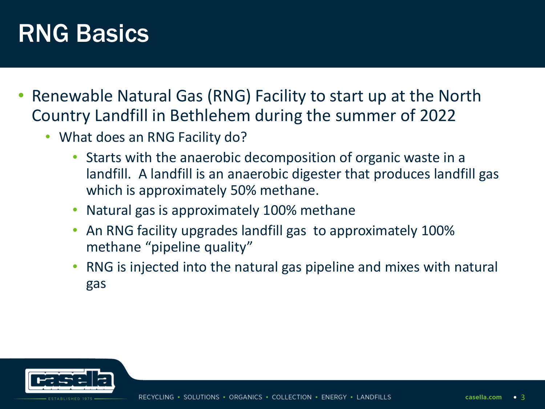# RNG Basics

- Renewable Natural Gas (RNG) Facility to start up at the North Country Landfill in Bethlehem during the summer of 2022
	- What does an RNG Facility do?
		- Starts with the anaerobic decomposition of organic waste in a landfill. A landfill is an anaerobic digester that produces landfill gas which is approximately 50% methane.
		- Natural gas is approximately 100% methane
		- An RNG facility upgrades landfill gas to approximately 100% methane "pipeline quality"
		- RNG is injected into the natural gas pipeline and mixes with natural gas

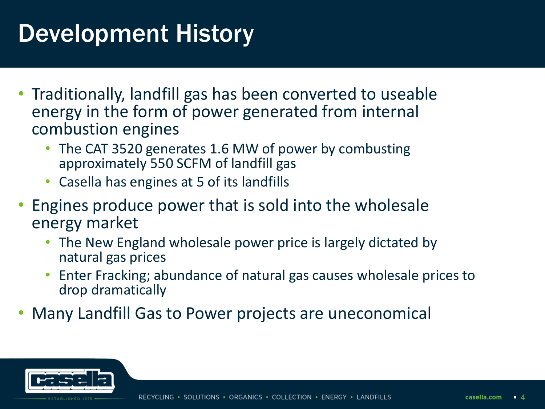# Development History

- Traditionally, landfill gas has been converted to useable energy in the form of power generated from internal combustion engines
	- The CAT 3520 generates 1.6 MW of power by combusting approximately 550 SCFM of landfill gas
	- Casella has engines at 5 of its landfills
- Engines produce power that is sold into the wholesale energy market
	- The New England wholesale power price is largely dictated by natural gas prices
	- Enter Fracking; abundance of natural gas causes wholesale prices to drop dramatically
- Many Landfill Gas to Power projects are uneconomical

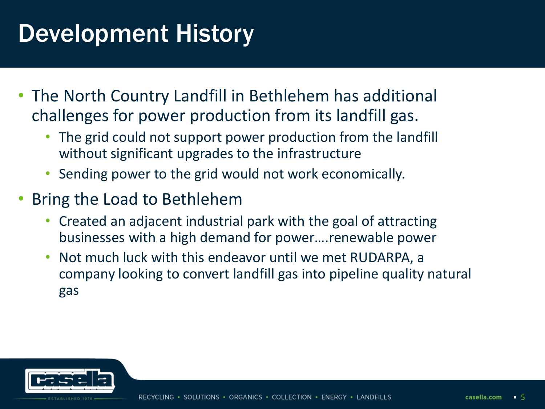# Development History

- The North Country Landfill in Bethlehem has additional challenges for power production from its landfill gas.
	- The grid could not support power production from the landfill without significant upgrades to the infrastructure
	- Sending power to the grid would not work economically.
- Bring the Load to Bethlehem
	- Created an adjacent industrial park with the goal of attracting businesses with a high demand for power….renewable power
	- Not much luck with this endeavor until we met RUDARPA, a company looking to convert landfill gas into pipeline quality natural gas

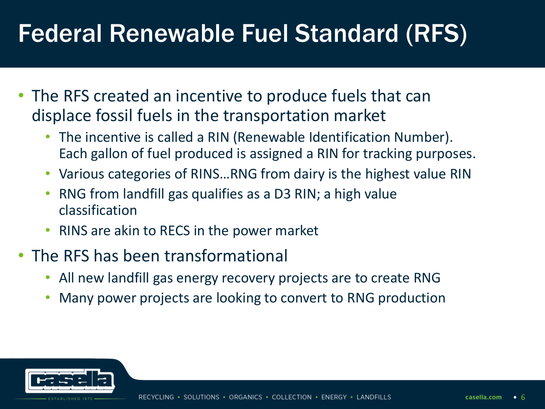# Federal Renewable Fuel Standard (RFS)

- The RFS created an incentive to produce fuels that can displace fossil fuels in the transportation market
	- The incentive is called a RIN (Renewable Identification Number). Each gallon of fuel produced is assigned a RIN for tracking purposes.
	- Various categories of RINS…RNG from dairy is the highest value RIN
	- RNG from landfill gas qualifies as a D3 RIN; a high value classification
	- RINS are akin to RECS in the power market
- The RFS has been transformational
	- All new landfill gas energy recovery projects are to create RNG
	- Many power projects are looking to convert to RNG production

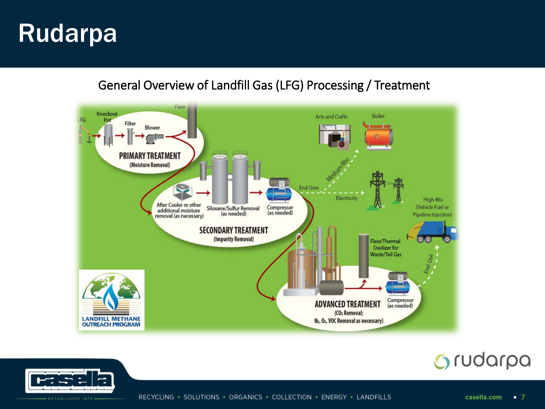#### General Overview of Landfill Gas (LFG) Processing / Treatment



### Grudarpa

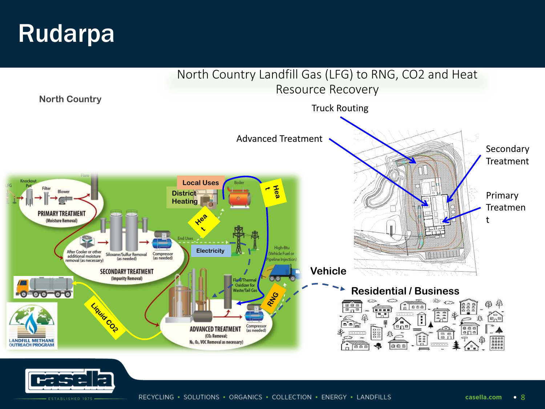

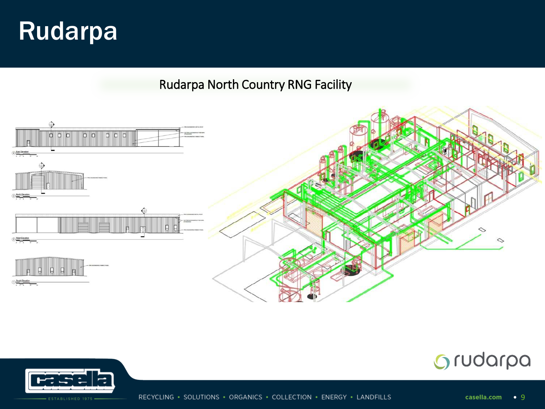Rudarpa North Country RNG Facility





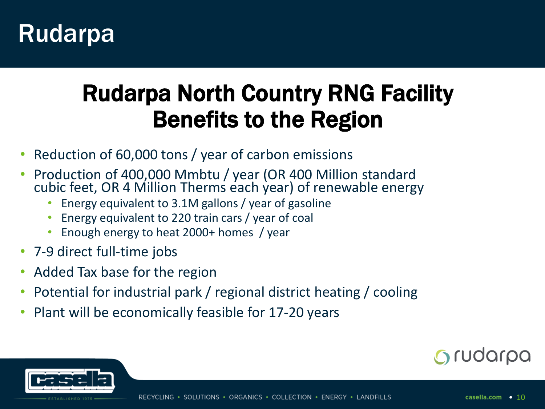### Rudarpa North Country RNG Facility Benefits to the Region

- Reduction of 60,000 tons / year of carbon emissions
- Production of 400,000 Mmbtu / year (OR 400 Million standard cubic feet, OR 4 Million Therms each year) of renewable energy
	- Energy equivalent to 3.1M gallons / year of gasoline
	- Energy equivalent to 220 train cars / year of coal
	- Enough energy to heat 2000+ homes / year
- 7-9 direct full-time jobs
- Added Tax base for the region
- Potential for industrial park / regional district heating / cooling
- Plant will be economically feasible for 17-20 years